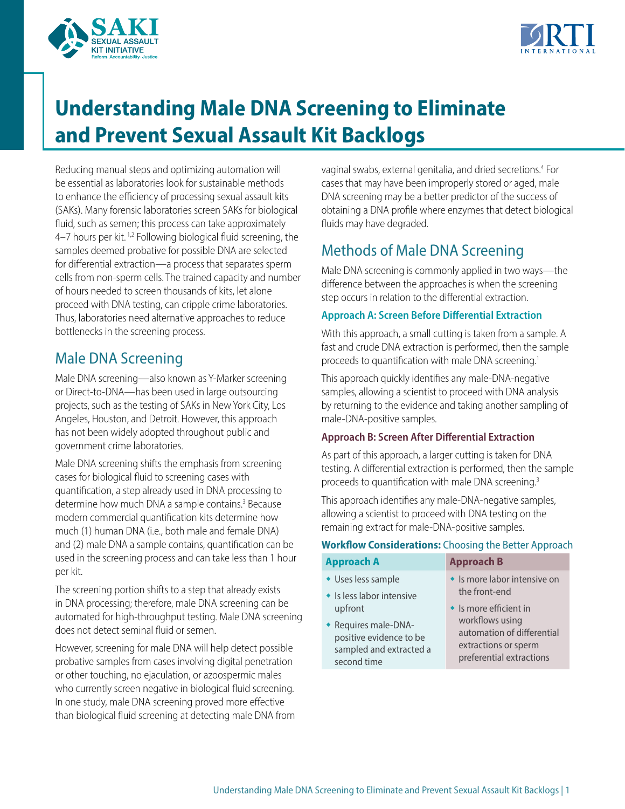



# **Understanding Male DNA Screening to Eliminate and Prevent Sexual Assault Kit Backlogs**

Reducing manual steps and optimizing automation will be essential as laboratories look for sustainable methods to enhance the efficiency of processing sexual assault kits (SAKs). Many forensic laboratories screen SAKs for biological fluid, such as semen; this process can take approximately 4–7 hours per kit. 1,2 Following biological fluid screening, the samples deemed probative for possible DNA are selected for differential extraction—a process that separates sperm cells from non-sperm cells. The trained capacity and number of hours needed to screen thousands of kits, let alone proceed with DNA testing, can cripple crime laboratories. Thus, laboratories need alternative approaches to reduce bottlenecks in the screening process.

# Male DNA Screening

Male DNA screening—also known as Y-Marker screening or Direct-to-DNA—has been used in large outsourcing projects, such as the testing of SAKs in New York City, Los Angeles, Houston, and Detroit. However, this approach has not been widely adopted throughout public and government crime laboratories.

Male DNA screening shifts the emphasis from screening cases for biological fluid to screening cases with quantification, a step already used in DNA processing to determine how much DNA a sample contains.<sup>3</sup> Because modern commercial quantification kits determine how much (1) human DNA (i.e., both male and female DNA) and (2) male DNA a sample contains, quantification can be used in the screening process and can take less than 1 hour per kit.

The screening portion shifts to a step that already exists in DNA processing; therefore, male DNA screening can be automated for high-throughput testing. Male DNA screening does not detect seminal fluid or semen.

However, screening for male DNA will help detect possible probative samples from cases involving digital penetration or other touching, no ejaculation, or azoospermic males who currently screen negative in biological fluid screening. In one study, male DNA screening proved more effective than biological fluid screening at detecting male DNA from

vaginal swabs, external genitalia, and dried secretions.4 For cases that may have been improperly stored or aged, male DNA screening may be a better predictor of the success of obtaining a DNA profile where enzymes that detect biological fluids may have degraded.

# Methods of Male DNA Screening

Male DNA screening is commonly applied in two ways—the difference between the approaches is when the screening step occurs in relation to the differential extraction.

#### **Approach A: Screen Before Differential Extraction**

With this approach, a small cutting is taken from a sample. A fast and crude DNA extraction is performed, then the sample proceeds to quantification with male DNA screening.<sup>1</sup>

This approach quickly identifies any male-DNA-negative samples, allowing a scientist to proceed with DNA analysis by returning to the evidence and taking another sampling of male-DNA-positive samples.

#### **Approach B: Screen After Differential Extraction**

As part of this approach, a larger cutting is taken for DNA testing. A differential extraction is performed, then the sample proceeds to quantification with male DNA screening.3

This approach identifies any male-DNA-negative samples, allowing a scientist to proceed with DNA testing on the remaining extract for male-DNA-positive samples.

#### **Workflow Considerations:** Choosing the Better Approach

| <b>Approach A</b>         | <b>Approach B</b>              |
|---------------------------|--------------------------------|
| • Uses less sample        | • Is more labor intensive on   |
| • Is less labor intensive | the front-end                  |
| upfront                   | $\bullet$ Is more efficient in |
| • Requires male-DNA-      | workflows using                |
| positive evidence to be   | automation of differential     |
| sampled and extracted a   | extractions or sperm           |
| second time               | preferential extractions       |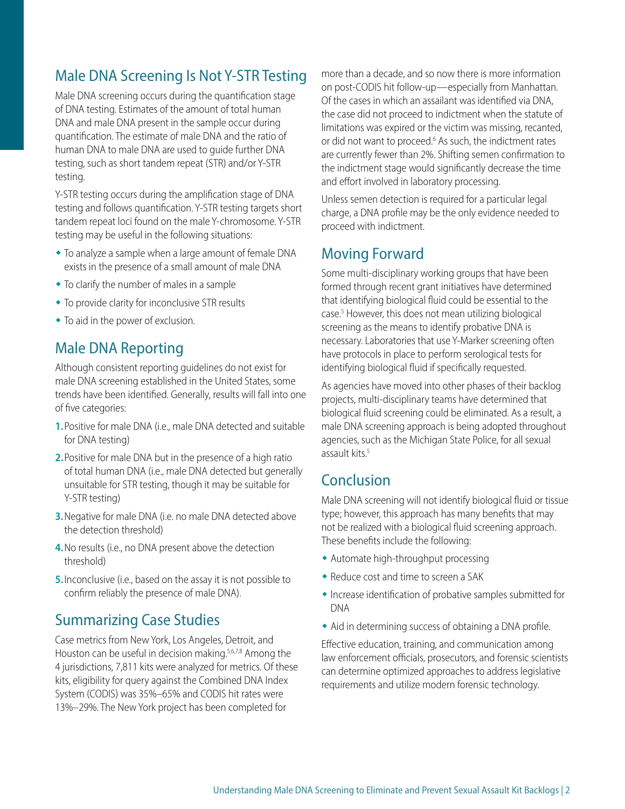# Male DNA Screening Is Not Y-STR Testing

Male DNA screening occurs during the quantification stage of DNA testing. Estimates of the amount of total human DNA and male DNA present in the sample occur during quantification. The estimate of male DNA and the ratio of human DNA to male DNA are used to guide further DNA testing, such as short tandem repeat (STR) and/or Y-STR testing.

Y-STR testing occurs during the amplification stage of DNA testing and follows quantification. Y-STR testing targets short tandem repeat loci found on the male Y-chromosome. Y-STR testing may be useful in the following situations:

- $\bullet$  To analyze a sample when a large amount of female DNA exists in the presence of a small amount of male DNA
- $\bullet$  To clarify the number of males in a sample
- To provide clarity for inconclusive STR results
- $\bullet$  To aid in the power of exclusion.

#### Male DNA Reporting

Although consistent reporting guidelines do not exist for male DNA screening established in the United States, some trends have been identified. Generally, results will fall into one of five categories:

- **1.**Positive for male DNA (i.e., male DNA detected and suitable for DNA testing)
- **2.**Positive for male DNA but in the presence of a high ratio of total human DNA (i.e., male DNA detected but generally unsuitable for STR testing, though it may be suitable for Y-STR testing)
- **3.**Negative for male DNA (i.e. no male DNA detected above the detection threshold)
- **4.**No results (i.e., no DNA present above the detection threshold)
- **5.**Inconclusive (i.e., based on the assay it is not possible to confirm reliably the presence of male DNA).

#### Summarizing Case Studies

Case metrics from New York, Los Angeles, Detroit, and Houston can be useful in decision making.<sup>5,6,7,8</sup> Among the 4 jurisdictions, 7,811 kits were analyzed for metrics. Of these kits, eligibility for query against the Combined DNA Index System (CODIS) was 35%–65% and CODIS hit rates were 13%–29%. The New York project has been completed for

more than a decade, and so now there is more information on post-CODIS hit follow-up—especially from Manhattan. Of the cases in which an assailant was identified via DNA, the case did not proceed to indictment when the statute of limitations was expired or the victim was missing, recanted, or did not want to proceed.<sup>6</sup> As such, the indictment rates are currently fewer than 2%. Shifting semen confirmation to the indictment stage would significantly decrease the time and effort involved in laboratory processing.

Unless semen detection is required for a particular legal charge, a DNA profile may be the only evidence needed to proceed with indictment.

### Moving Forward

Some multi-disciplinary working groups that have been formed through recent grant initiatives have determined that identifying biological fluid could be essential to the case.<sup>5</sup> However, this does not mean utilizing biological screening as the means to identify probative DNA is necessary. Laboratories that use Y-Marker screening often have protocols in place to perform serological tests for identifying biological fluid if specifically requested.

As agencies have moved into other phases of their backlog projects, multi-disciplinary teams have determined that biological fluid screening could be eliminated. As a result, a male DNA screening approach is being adopted throughout agencies, such as the Michigan State Police, for all sexual assault kits.<sup>5</sup>

### Conclusion

Male DNA screening will not identify biological fluid or tissue type; however, this approach has many benefits that may not be realized with a biological fluid screening approach. These benefits include the following:

- $\bullet$  Automate high-throughput processing
- $\bullet$  Reduce cost and time to screen a SAK
- $\bullet$  Increase identification of probative samples submitted for DNA
- $\bullet$  Aid in determining success of obtaining a DNA profile.

Effective education, training, and communication among law enforcement officials, prosecutors, and forensic scientists can determine optimized approaches to address legislative requirements and utilize modern forensic technology.